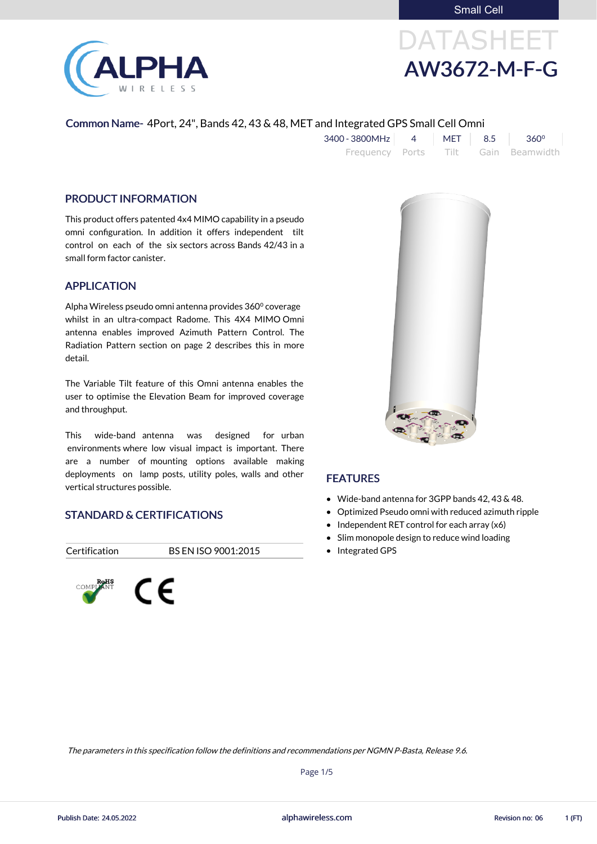Small Cell



# DATASHEET AW3672-M-F-G

#### Common Name- 4Port, 24", Bands 42, 43 & 48, MET and Integrated GPS Small Cell Omni

| $3400 - 3800 MHz$ 4 |  | $MET$ 8.5 360 <sup>o</sup>          |
|---------------------|--|-------------------------------------|
|                     |  | Frequency Ports Tilt Gain Beamwidth |

#### PRODUCT INFORMATION

This product offers patented 4x4 MIMO capability in a pseudo omni configuration. In addition it offers independent tilt control on each of the six sectors across Bands 42/43 in a small form factor canister.

#### APPLICATION

Alpha Wireless pseudo omni antenna provides 360⁰ coverage whilst in an ultra-compact Radome. This 4X4 MIMO Omni antenna enables improved Azimuth Pattern Control. The Radiation Pattern section on page 2 describes this in more detail.

- Wide-band antenna for 3GPP bands 42, 43 & 48.
- Optimized Pseudo omni with reduced azimuth ripple
- $\bullet$  Independent RET control for each array (x6)
- Slim monopole design to reduce wind loading
- Integrated GPS

The Variable Tilt feature of this Omni antenna enables the user to optimise the Elevation Beam for improved coverage and throughput.

This wide-band antenna was designed for urban environments where low visual impact is important. There are a number of mounting options available making deployments on lamp posts, utility poles, walls and other vertical structures possible.

#### STANDARD & CERTIFICATIONS

Certification BS EN ISO 9001:2015





#### FEATURES

alphawireless.com

Page 1/5

The parameters in this specification follow the definitions and recommendations per NGMN P-Basta, Release 9.6.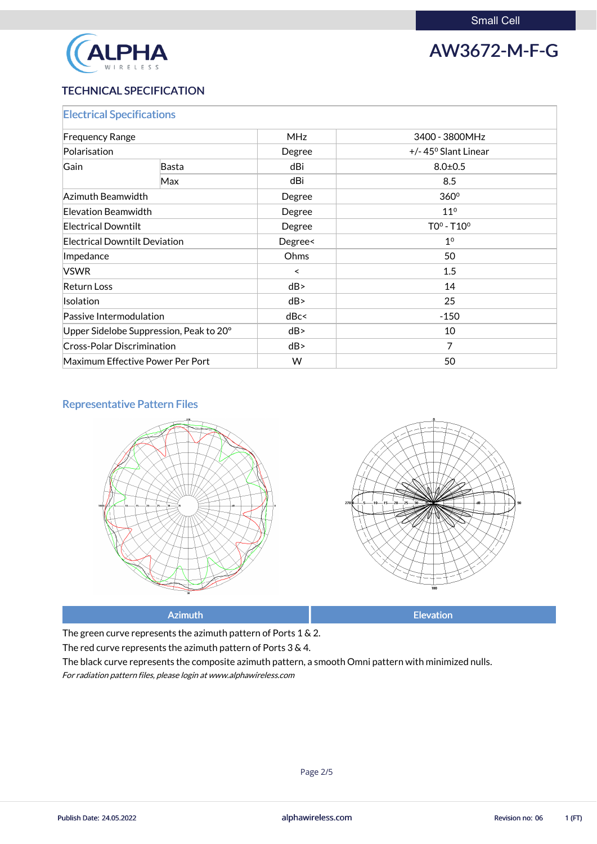

## AW3672-M-F-G

#### TECHNICAL SPECIFICATION

| <b>Electrical Specifications</b>        |                                  |            |                               |  |
|-----------------------------------------|----------------------------------|------------|-------------------------------|--|
| <b>Frequency Range</b>                  |                                  | <b>MHz</b> | 3400 - 3800MHz                |  |
| Polarisation                            |                                  | Degree     | $+/- 45^{\circ}$ Slant Linear |  |
| Gain                                    | <b>Basta</b>                     | dBi        | $8.0 \pm 0.5$                 |  |
|                                         | Max                              | dBi        | 8.5                           |  |
| Azimuth Beamwidth                       |                                  | Degree     | 360 <sup>°</sup>              |  |
| Elevation Beamwidth                     |                                  | Degree     | 11 <sup>0</sup>               |  |
| <b>Electrical Downtilt</b>              |                                  | Degree     | $TOo - T1Oo$                  |  |
| <b>Electrical Downtilt Deviation</b>    |                                  | Degree<    | 1 <sup>0</sup>                |  |
| Impedance                               |                                  | Ohms       | 50                            |  |
| <b>VSWR</b>                             |                                  | $\prec$    | 1.5                           |  |
| <b>Return Loss</b>                      |                                  | dB         | 14                            |  |
| Isolation                               |                                  | dB         | 25                            |  |
| Passive Intermodulation                 |                                  | dBc<       | $-150$                        |  |
| Upper Sidelobe Suppression, Peak to 20° |                                  | dB         | 10                            |  |
| <b>Cross-Polar Discrimination</b>       |                                  | dB         | $\overline{7}$                |  |
|                                         | Maximum Effective Power Per Port | W          | 50                            |  |

#### Representative Pattern Files





Azimuth **Elevation** 

The green curve represents the azimuth pattern of Ports 1 & 2.

### The red curve represents the azimuth pattern of Ports 3 & 4.

The black curve represents the composite azimuth pattern, a smooth Omni pattern with minimized nulls.

For radiation pattern files, please login at www.alphawireless.com

Page 2/5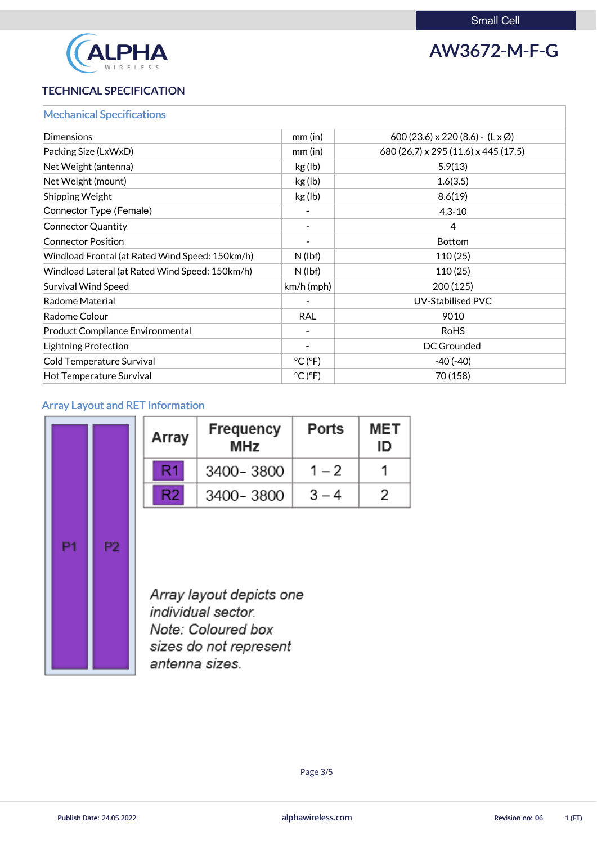

### AW3672-M-F-G

#### TECHNICAL SPECIFICATION

| <b>Mechanical Specifications</b>                |                              |                                                 |
|-------------------------------------------------|------------------------------|-------------------------------------------------|
| Dimensions                                      | mm(in)                       | 600 (23.6) x 220 (8.6) - $(L \times \emptyset)$ |
| Packing Size (LxWxD)                            | $mm$ (in)                    | 680 (26.7) x 295 (11.6) x 445 (17.5)            |
| Net Weight (antenna)                            | kg (lb)                      | 5.9(13)                                         |
| Net Weight (mount)                              | kg (lb)                      | 1.6(3.5)                                        |
| <b>Shipping Weight</b>                          | kg (lb)                      | 8.6(19)                                         |
| Connector Type (Female)                         |                              | $4.3 - 10$                                      |
| Connector Quantity                              | $\blacksquare$               | 4                                               |
| <b>Connector Position</b>                       | $\qquad \qquad \blacksquare$ | <b>Bottom</b>                                   |
| Windload Frontal (at Rated Wind Speed: 150km/h) | $N$ (lbf)                    | 110(25)                                         |
| Windload Lateral (at Rated Wind Speed: 150km/h) | $N$ (lbf)                    | 110(25)                                         |
| Survival Wind Speed                             | $km/h$ (mph)                 | 200(125)                                        |
| Radome Material                                 |                              | <b>UV-Stabilised PVC</b>                        |
| Radome Colour                                   | <b>RAL</b>                   | 9010                                            |
| <b>Product Compliance Environmental</b>         | $\overline{\phantom{a}}$     | <b>RoHS</b>                                     |
| Lightning Protection                            | $\blacksquare$               | <b>DC Grounded</b>                              |
| Cold Temperature Survival                       | $^{\circ}$ C ( $^{\circ}$ F) | $-40(-40)$                                      |
| Hot Temperature Survival                        | $^{\circ}$ C ( $^{\circ}$ F) | 70 (158)                                        |
|                                                 |                              |                                                 |

#### Array Layout and RET Information

|    |    | Array          | <b>Frequency</b><br><b>MHz</b>                                      | <b>Ports</b> | <b>MET</b><br>ID |
|----|----|----------------|---------------------------------------------------------------------|--------------|------------------|
|    |    | R1             | 3400-3800                                                           | $1 - 2$      |                  |
|    |    | R <sub>2</sub> | 3400-3800                                                           | $3 - 4$      | 2                |
| P1 | P2 |                | Array layout depicts one<br>individual sector<br>Note: Coloured box |              |                  |



sizes do not represent antenna sizes.

alphawireless.com

Publish Date: 24.05.2022 **Revision no: 06** 1 (FT)

Page 3/5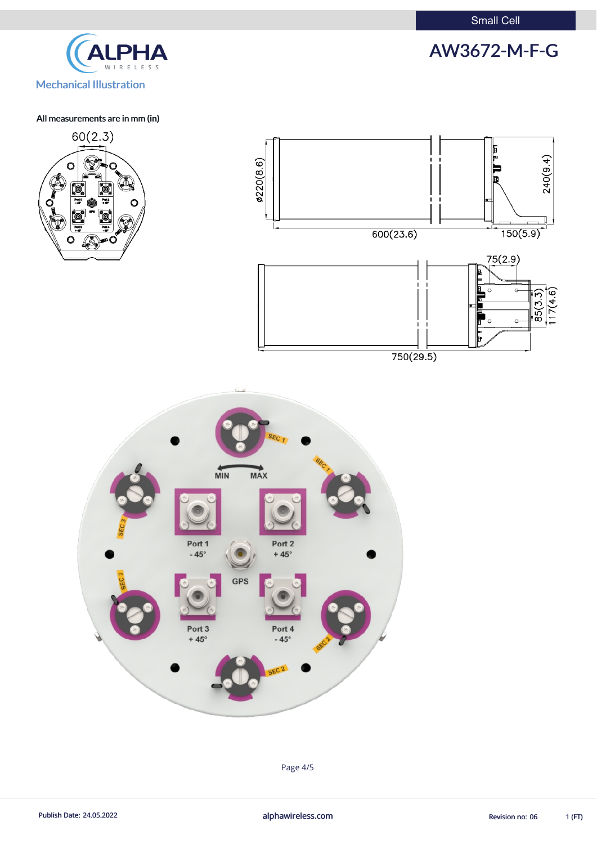



All measurements are in mm (in)







Page 4/5

Publish Date: 24.05.2022 **alphawireless.com** alphawireless.com Revision no: 06 1 (FT)